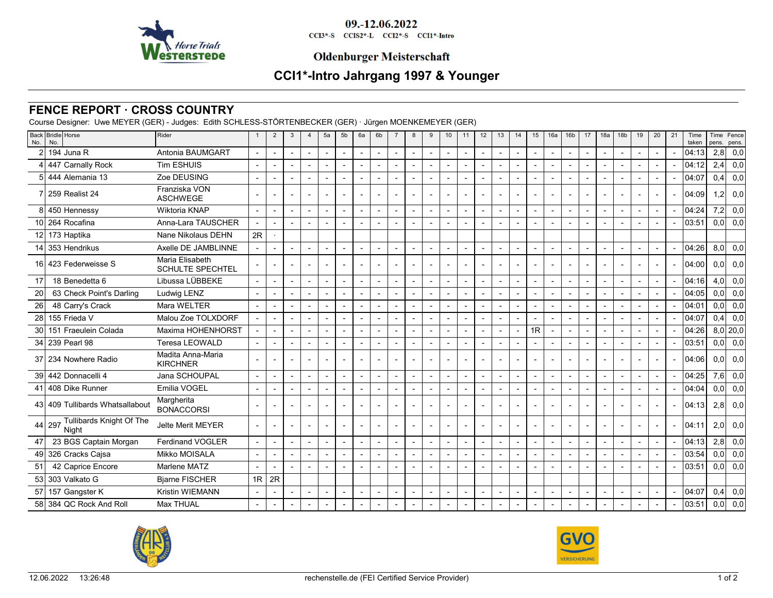

09.-12.06.2022 CCI3\*-S CCIS2\*-L CCI2\*-S CCI1\*-Intro

## **Oldenburger Meisterschaft**

# **CCI1\*-Intro Jahrgang 1997 & Younger**

### **FENCE REPORT · CROSS COUNTRY**

Course Designer: Uwe MEYER (GER) - Judges: Edith SCHLESS-STÖRTENBECKER (GER) · Jürgen MOENKEMEYER (GER)

| No.             | Back Bridle Horse<br>No.                 | Rider                                      |                          | $\overline{2}$           | 3 | $\overline{4}$           | 5a                       | 5 <sub>b</sub> | 6a                       | 6b                       | $\overline{7}$ | 8              | 9 | 10 <sup>°</sup> | 11                       | 12                       | 13                       | 14 | 15                       | 16a            | 16 <sub>b</sub>          | 17                       | 18a                      | 18 <sub>b</sub> | 19 | 20 | 21             | Time<br>taken | Time<br>pens.    | Fence<br>pens. |
|-----------------|------------------------------------------|--------------------------------------------|--------------------------|--------------------------|---|--------------------------|--------------------------|----------------|--------------------------|--------------------------|----------------|----------------|---|-----------------|--------------------------|--------------------------|--------------------------|----|--------------------------|----------------|--------------------------|--------------------------|--------------------------|-----------------|----|----|----------------|---------------|------------------|----------------|
|                 | 194 Juna R                               | Antonia BAUMGART                           |                          |                          |   |                          |                          |                | $\overline{\phantom{a}}$ |                          | ÷              |                |   |                 |                          |                          | $\blacksquare$           |    | $\overline{\phantom{a}}$ |                |                          |                          |                          |                 |    |    |                | 04:13         | 2,8              | 0,0            |
|                 | 447 Carnally Rock                        | <b>Tim ESHUIS</b>                          |                          | $\overline{a}$           |   |                          |                          |                | $\overline{\phantom{a}}$ |                          |                |                |   |                 |                          |                          | $\blacksquare$           |    | $\overline{a}$           |                |                          | $\overline{a}$           |                          |                 |    |    |                | 04:12         | 2,4              | 0,0            |
|                 | 444 Alemania 13                          | Zoe DEUSING                                |                          |                          |   |                          |                          |                |                          |                          |                |                |   |                 |                          |                          | $\overline{a}$           |    | $\blacksquare$           |                |                          |                          |                          |                 |    |    |                | 04:07         | 0,4              | 0,0            |
|                 | 259 Realist 24                           | Franziska VON<br><b>ASCHWEGE</b>           |                          |                          |   |                          |                          |                |                          |                          |                |                |   |                 |                          |                          | $\blacksquare$           |    | $\overline{a}$           |                |                          | $\overline{\phantom{a}}$ |                          |                 |    |    |                | 04:09         | 1.2 <sub>l</sub> | 0,0            |
|                 | 8 450 Hennessy                           | Wiktoria KNAP                              | $\blacksquare$           |                          |   | $\overline{\phantom{a}}$ | $\overline{a}$           |                |                          | $\overline{a}$           | $\blacksquare$ | $\overline{a}$ |   |                 |                          | $\overline{\phantom{a}}$ | $\blacksquare$           |    | $\blacksquare$           |                |                          | $\sim$                   | $\overline{a}$           |                 |    |    |                | 04:24         | 7.2              | 0,0            |
| 101             | 264 Rocafina                             | Anna-Lara TAUSCHER                         |                          |                          |   |                          |                          |                |                          |                          |                |                |   |                 |                          |                          |                          |    |                          |                |                          |                          |                          |                 |    |    |                | 03:51         | 0.01             | 0,0            |
|                 | 12 173 Haptika                           | Nane Nikolaus DEHN                         | 2R                       |                          |   |                          |                          |                |                          |                          |                |                |   |                 |                          |                          |                          |    |                          |                |                          |                          |                          |                 |    |    |                |               |                  |                |
| 14 <sup>1</sup> | 353 Hendrikus                            | Axelle DE JAMBLINNE                        |                          |                          |   |                          |                          |                |                          |                          |                |                |   |                 |                          |                          | $\sim$                   |    |                          |                |                          |                          | $\overline{a}$           |                 |    |    |                | 04:26         | 8,0              | 0,0            |
| 16 I            | 423 Federweisse S                        | Maria Elisabeth<br><b>SCHULTE SPECHTEL</b> |                          | $\blacksquare$           |   |                          |                          |                |                          |                          |                |                |   |                 |                          |                          | $\blacksquare$           |    | $\overline{\phantom{a}}$ |                |                          |                          |                          |                 |    |    |                | 04:00         | 0.0 <sub>l</sub> | 0,0            |
| 17              | 18 Benedetta 6                           | Libussa LÜBBEKE                            |                          |                          |   |                          | $\overline{a}$           |                |                          | $\overline{\phantom{a}}$ | $\overline{a}$ |                |   |                 | $\overline{a}$           | $\overline{a}$           | $\overline{\phantom{0}}$ |    | $\overline{\phantom{a}}$ |                | $\overline{a}$           |                          | $\overline{a}$           | $\overline{a}$  |    |    |                | 04:16         | 4,0              | 0,0            |
| 20              | 63 Check Point's Darling                 | Ludwig LENZ                                |                          | $\blacksquare$           |   |                          | $\overline{a}$           |                | $\overline{a}$           |                          |                |                |   |                 |                          |                          | $\overline{a}$           |    | $\overline{\phantom{a}}$ | $\overline{a}$ |                          | $\sim$                   |                          |                 |    |    |                | 04:05         | 0.01             | 0,0            |
| 26              | 48 Carry's Crack                         | Mara WELTER                                | $\overline{\phantom{a}}$ | $\blacksquare$           |   |                          |                          |                | $\blacksquare$           | $\overline{\phantom{a}}$ |                |                |   |                 | $\overline{\phantom{a}}$ |                          | $\blacksquare$           |    | $\blacksquare$           |                |                          |                          |                          |                 |    |    |                | 04:01         | 0.0 <sub>l</sub> | 0,0            |
| 28              | 155 Frieda V                             | Malou Zoe TOLXDORF                         |                          |                          |   |                          |                          |                |                          |                          |                |                |   |                 |                          |                          | $\blacksquare$           |    |                          |                |                          | $\sim$                   |                          |                 |    |    |                | 04:07         | 0.41             | 0,0            |
| 30 <sup>1</sup> | 151 Fraeulein Colada                     | Maxima HOHENHORST                          |                          |                          |   |                          |                          |                | $\overline{\phantom{0}}$ |                          |                |                |   |                 |                          |                          | $\blacksquare$           |    | 1R                       |                |                          |                          |                          |                 |    |    |                | 04:26         |                  | $8,0$   20,0   |
|                 | 34 239 Pearl 98                          | Teresa LEOWALD                             |                          |                          |   |                          |                          |                |                          |                          |                |                |   |                 |                          |                          | $\blacksquare$           |    |                          |                |                          |                          |                          |                 |    |    |                | 03:51         | 0,0              | 0,0            |
|                 | 37 234 Nowhere Radio                     | Madita Anna-Maria<br><b>KIRCHNER</b>       |                          |                          |   |                          |                          |                |                          |                          |                |                |   |                 |                          |                          | $\overline{\phantom{0}}$ |    |                          |                |                          |                          |                          |                 |    |    |                | 04:06         | 0.0 <sub>l</sub> | 0,0            |
| 39 <sup>1</sup> | 442 Donnacelli 4                         | Jana SCHOUPAL                              |                          |                          |   |                          | ÷                        |                |                          |                          | ÷              |                |   |                 |                          |                          | $\overline{\phantom{a}}$ |    | $\overline{\phantom{a}}$ | $\blacksquare$ |                          |                          |                          |                 |    |    |                | 04:25         | 7.6              | 0,0            |
|                 | 41 408 Dike Runner                       | Emilia VOGEL                               |                          |                          |   |                          |                          |                |                          |                          |                |                |   |                 |                          |                          | $\blacksquare$           |    |                          | $\overline{a}$ |                          |                          |                          |                 |    |    |                | 04:04         | 0,0              | 0,0            |
|                 | 43 409 Tullibards Whatsallabout          | Margherita<br><b>BONACCORSI</b>            |                          | $\overline{\phantom{a}}$ |   | $\overline{\phantom{a}}$ |                          |                | $\overline{\phantom{a}}$ |                          |                |                |   |                 |                          |                          | $\blacksquare$           |    | $\overline{\phantom{a}}$ |                |                          |                          | $\overline{\phantom{a}}$ |                 |    |    |                | 104:131       | 2,8              | 0,0            |
|                 | 44 297 Tullibards Knight Of The<br>Night | <b>Jelte Merit MEYER</b>                   |                          | $\blacksquare$           |   | $\overline{\phantom{a}}$ | $\overline{\phantom{0}}$ | $\overline{a}$ | $\overline{a}$           |                          | $\blacksquare$ | $\blacksquare$ |   |                 |                          |                          | $\blacksquare$           |    | $\overline{\phantom{a}}$ |                | $\overline{\phantom{a}}$ | $\sim$                   | $\overline{\phantom{a}}$ | ۰               |    |    | $\overline{a}$ | 04:11         | 2,0              | 0,0            |
| 47              | 23 BGS Captain Morgan                    | <b>Ferdinand VOGLER</b>                    |                          |                          |   |                          |                          |                |                          |                          |                |                |   |                 |                          |                          | $\blacksquare$           |    | $\overline{\phantom{a}}$ |                |                          |                          |                          |                 |    |    |                | 04:13         | 2,8              | 0,0            |
|                 | 49 326 Cracks Cajsa                      | Mikko MOISALA                              |                          | $\blacksquare$           |   |                          |                          |                | $\overline{\phantom{a}}$ |                          |                |                |   |                 |                          |                          | $\blacksquare$           |    | $\blacksquare$           | $\overline{a}$ |                          | $\overline{a}$           |                          |                 |    |    |                | 03:54         | 0.0              | 0,0            |
| 51              | 42 Caprice Encore                        | Marlene MATZ                               |                          |                          |   |                          |                          |                |                          |                          |                |                |   |                 |                          |                          |                          |    | $\blacksquare$           |                |                          |                          |                          |                 |    |    |                | 03:51         | 0.01             | 0,0            |
| 53              | 303 Valkato G                            | <b>Bjarne FISCHER</b>                      |                          | $1R$ $2R$                |   |                          |                          |                |                          |                          |                |                |   |                 |                          |                          |                          |    |                          |                |                          |                          |                          |                 |    |    |                |               |                  |                |
| 57              | 157 Gangster K                           | <b>Kristin WIEMANN</b>                     |                          |                          |   |                          |                          |                |                          |                          |                |                |   |                 |                          |                          | $\blacksquare$           |    | $\overline{\phantom{a}}$ |                |                          |                          |                          |                 |    |    |                | 04:07         | 0.4              | 0,0            |
|                 | 58 384 QC Rock And Roll                  | <b>Max THUAL</b>                           |                          |                          |   |                          |                          |                |                          |                          |                |                |   |                 |                          |                          |                          |    |                          |                |                          |                          |                          |                 |    |    |                | 03:51         | 0,0              | 0,0            |